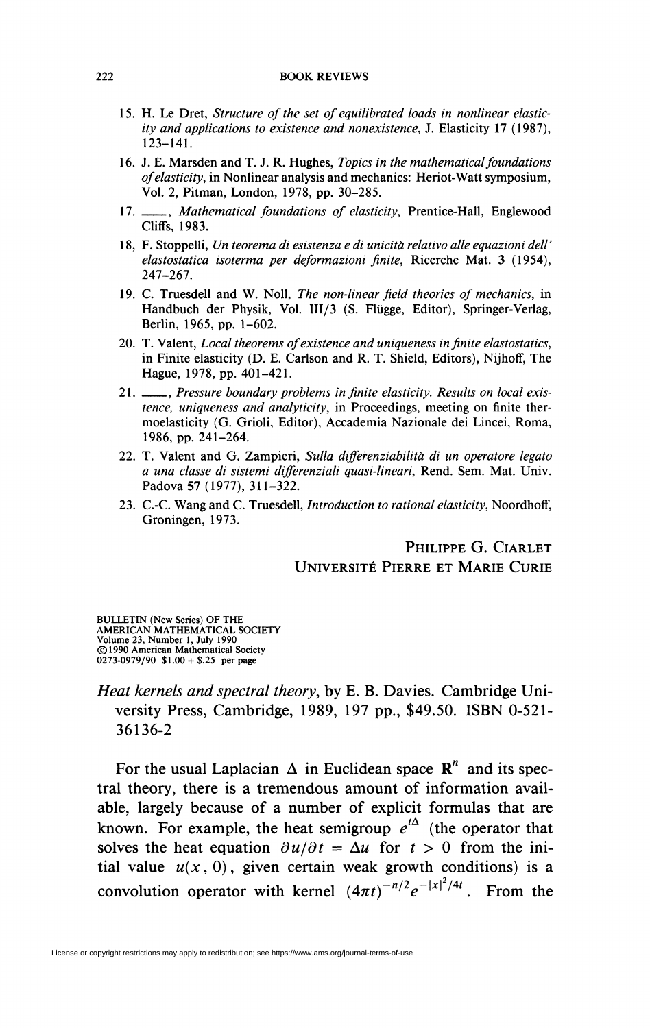## 222 BOOK REVIEWS

- 15. H. Le Dret, *Structure of the set of equilibrated loads in nonlinear elasticity and applications to existence and nonexistence,* J. Elasticity 17 (1987), 123-141.
- 16. J. E. Marsden and T. J. R. Hughes, *Topics in the mathematical foundations of elasticity,* in Nonlinear analysis and mechanics: Heriot-Watt symposium, Vol. 2, Pitman, London, 1978, pp. 30-285.
- 17. \_\_\_, Mathematical foundations of elasticity, Prentice-Hall, Englewood Cliffs, 1983.
- 18. F. Stoppelli, *Un teorema di esistenza e di unicità relativo alle equazioni dell' elastostatica isoterma per deformazioni finite,* Ricerche Mat. 3 (1954), 247-267.
- 19. C. Truesdell and W. Noll, *The non-linear field theories of mechanics,* in Handbuch der Physik, Vol. Ill/3 (S. Flügge, Editor), Springer-Verlag, Berlin, 1965, pp. 1-602.
- 20. T. Valent, *Local theorems of existence and uniqueness infinite elastostatics,*  in Finite elasticity (D. E. Carlson and R. T. Shield, Editors), Nijhoff, The Hague, 1978, pp. 401-421.
- 21. \_\_\_, Pressure boundary problems in finite elasticity. Results on local exis*tence, uniqueness and analyticity,* in Proceedings, meeting on finite thermoelasticity (G. Grioli, Editor), Accademia Nazionale dei Lincei, Roma, 1986, pp. 241-264.
- 22. T. Valent and G. Zampieri, *Sulla differenziabilità di un operatore legato a una classe di sistemi differenziali quasi-lineari,* Rend. Sem. Mat. Univ. Padova 57 (1977), 311-322.
- 23. C.-C. Wang and C. Truesdell, *Introduction to rational elasticity,* Noordhoff, Groningen, 1973.

## PHILIPPE G. CIARLET UNIVERSITÉ PIERRE ET MARIE CURIE

BULLETIN (New Series) OF THE AMERICAN MATHEMATICAL SOCIETY Volume 23, Number 1, July 1990 © 1990 American Mathematical Society 0273-0979/90 \$1.00 + \$.25 per page

## *Heat kernels and spectral theory,* by E. B. Davies. Cambridge University Press, Cambridge, 1989, 197 pp., \$49.50. ISBN 0-521- 36136-2

For the usual Laplacian  $\Delta$  in Euclidean space  $\mathbb{R}^n$  and its spectral theory, there is a tremendous amount of information available, largely because of a number of explicit formulas that are known. For example, the heat semigroup  $e^{t\Delta}$  (the operator that solves the heat equation  $\partial u/\partial t = \Delta u$  for  $t > 0$  from the initial value  $u(x, 0)$ , given certain weak growth conditions) is a convolution operator with kernel  $(4\pi t)^{-n/2}e^{-|x|^2/4t}$ . From the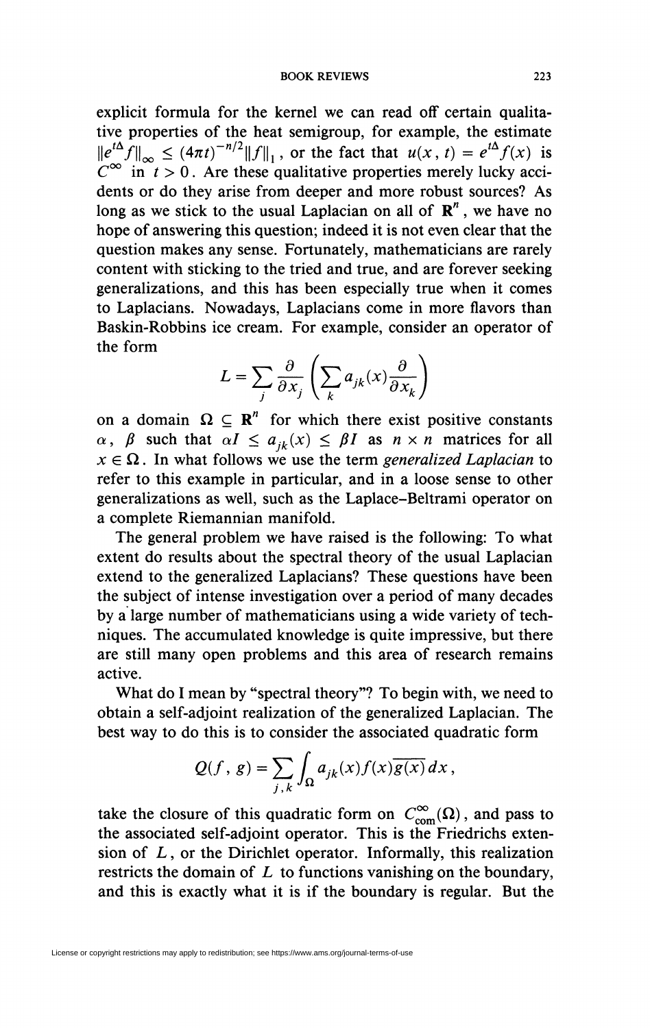explicit formula for the kernel we can read off certain qualitative properties of the heat semigroup, for example, the estimate  $\|e^{i\Delta} f\|_{\infty} \leq (4\pi t)^{-n/2} \|f\|_{1}$ , or the fact that  $u(x, t) = e^{i\Delta} f(x)$  is  $C^{\infty}$  in  $t > 0$ . Are these qualitative properties merely lucky accidents or do they arise from deeper and more robust sources? As long as we stick to the usual Laplacian on all of  $\mathbb{R}^n$ , we have no hope of answering this question; indeed it is not even clear that the question makes any sense. Fortunately, mathematicians are rarely content with sticking to the tried and true, and are forever seeking generalizations, and this has been especially true when it comes to Laplacians. Nowadays, Laplacians come in more flavors than Baskin-Robbins ice cream. For example, consider an operator of the form

$$
L = \sum_{j} \frac{\partial}{\partial x_j} \left( \sum_{k} a_{jk}(x) \frac{\partial}{\partial x_k} \right)
$$

on a domain  $\Omega \subseteq \mathbb{R}^n$  for which there exist positive constants  $\alpha$ ,  $\beta$  such that  $\alpha I \leq a_{ik}(x) \leq \beta I$  as  $n \times n$  matrices for all  $x \in \Omega$ . In what follows we use the term *generalized Laplacian* to refer to this example in particular, and in a loose sense to other generalizations as well, such as the Laplace-Beltrami operator on a complete Riemannian manifold.

The general problem we have raised is the following: To what extent do results about the spectral theory of the usual Laplacian extend to the generalized Laplacians? These questions have been the subject of intense investigation over a period of many decades by a large number of mathematicians using a wide variety of techniques. The accumulated knowledge is quite impressive, but there are still many open problems and this area of research remains active.

What do I mean by "spectral theory"? To begin with, we need to obtain a self-adjoint realization of the generalized Laplacian. The best way to do this is to consider the associated quadratic form

$$
Q(f, g) = \sum_{j,k} \int_{\Omega} a_{jk}(x) f(x) \overline{g(x)} dx,
$$

take the closure of this quadratic form on  $C_{com}^{\infty}(\Omega)$ , and pass to the associated self-adjoint operator. This is the Friedrichs extension of *L*, or the Dirichlet operator. Informally, this realization restricts the domain of *L* to functions vanishing on the boundary, and this is exactly what it is if the boundary is regular. But the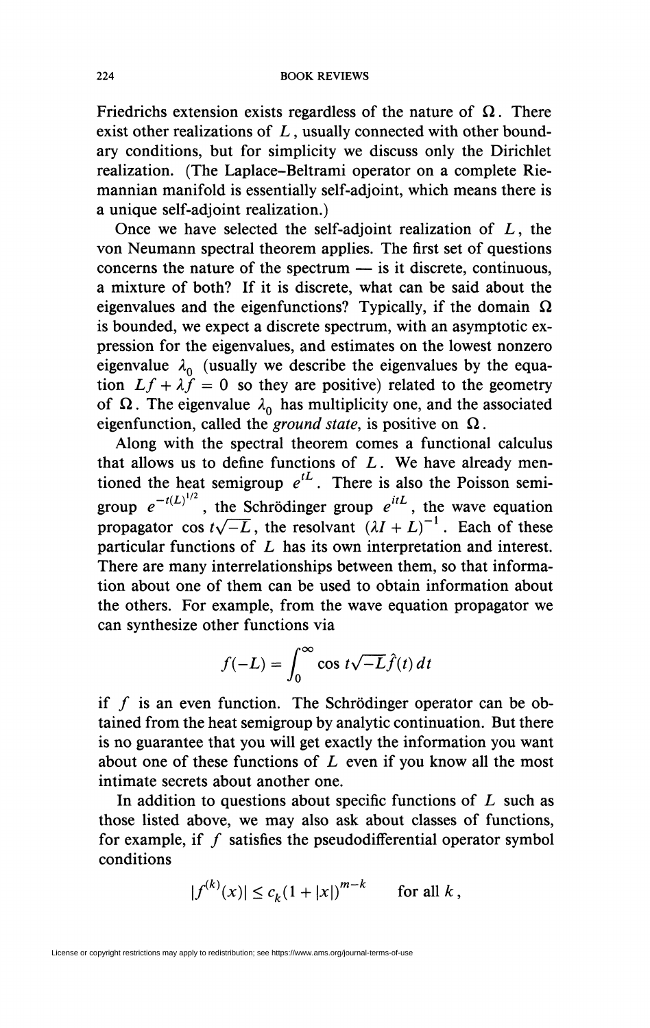Friedrichs extension exists regardless of the nature of  $\Omega$ . There exist other realizations of *L*, usually connected with other boundary conditions, but for simplicity we discuss only the Dirichlet realization. (The Laplace-Beltrami operator on a complete Riemannian manifold is essentially self-adjoint, which means there is a unique self-adioint realization.)

Once we have selected the self-adjoint realization of  $L$ , the von Neumann spectral theorem applies. The first set of questions concerns the nature of the spectrum — is it discrete, continuous, a mixture of both? If it is discrete, what can be said about the eigenvalues and the eigenfunctions? Typically, if the domain  $\Omega$ is bounded, we expect a discrete spectrum, with an asymptotic expression for the eigenvalues, and estimates on the lowest nonzero eigenvalue  $\lambda_0$  (usually we describe the eigenvalues by the equation  $Lf + \lambda \tilde{f} = 0$  so they are positive) related to the geometry of  $\Omega$ . The eigenvalue  $\lambda_0$  has multiplicity one, and the associated eigenfunction, called the *ground state*, is positive on  $\Omega$ .

Along with the spectral theorem comes a functional calculus that allows us to define functions of *L*. We have already mentioned the heat semigroup  $e^{tL}$ . There is also the Poisson semi $e^{itL}$ , the Schrödinger group  $e^{itL}$ , group  $e$ , the Schrödinger group  $e$ , the wave equation propagator cos  $t\sqrt{-L}$ , the resolvant  $(XI + L)$ particular functions of  $L$  has its own interpretation and interest. There are many interrelationships between them, so that information about one of them can be used to obtain information about the others. For example, from the wave equation propagator we the others. For example, from the wave equation propagator we can synthesize other functions via

$$
f(-L) = \int_0^\infty \cos t \sqrt{-L} \hat{f}(t) dt
$$

if  $f$  is an even function. The Schrödinger operator can be obtained from the heat semigroup by analytic continuation. But there is no guarantee that you will get exactly the information you want about one of these functions of *L* even if you know all the most intimate secrets about another one.

In addition to questions about specific functions of *L* such as those listed above, we may also ask about classes of functions, for example, if  $f$  satisfies the pseudodifferential operator symbol conditions

$$
|f^{(k)}(x)| \le c_k (1+|x|)^{m-k}
$$
 for all k,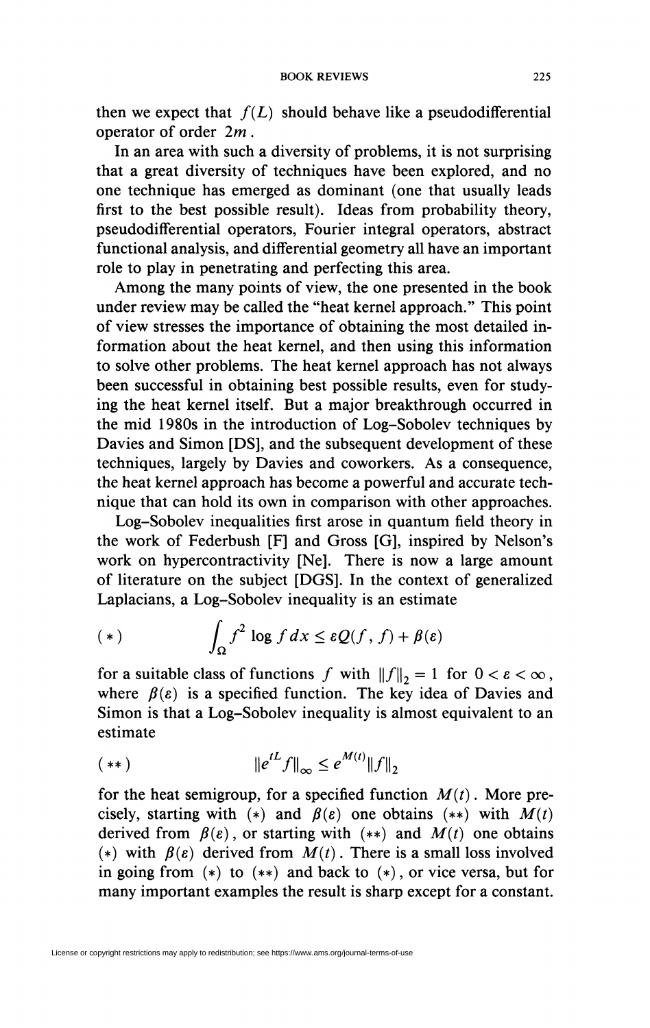then we expect that  $f(L)$  should behave like a pseudodifferential operator of order *2m* .

In an area with such a diversity of problems, it is not surprising that a great diversity of techniques have been explored, and no one technique has emerged as dominant (one that usually leads first to the best possible result). Ideas from probability theory, pseudodifferential operators, Fourier integral operators, abstract functional analysis, and differential geometry all have an important role to play in penetrating and perfecting this area.

Among the many points of view, the one presented in the book under review may be called the "heat kernel approach." This point of view stresses the importance of obtaining the most detailed information about the heat kernel, and then using this information to solve other problems. The heat kernel approach has not always been successful in obtaining best possible results, even for studying the heat kernel itself. But a major breakthrough occurred in the mid 1980s in the introduction of Log-Sobolev techniques by Davies and Simon [DS], and the subsequent development of these techniques, largely by Davies and coworkers. As a consequence, the heat kernel approach has become a powerful and accurate technique that can hold its own in comparison with other approaches.

Log-Sobolev inequalities first arose in quantum field theory in the work of Federbush [F] and Gross [G], inspired by Nelson's work on hypercontractivity [Ne]. There is now a large amount of literature on the subject [DGS]. In the context of generalized Laplacians, a Log-Sobolev inequality is an estimate

(\*) 
$$
\int_{\Omega} f^2 \log f dx \leq \varepsilon Q(f, f) + \beta(\varepsilon)
$$

for a suitable class of functions f with  $||f||_2 = 1$  for  $0 < \varepsilon < \infty$ , where  $\beta(\varepsilon)$  is a specified function. The key idea of Davies and Simon is that a Log-Sobolev inequality is almost equivalent to an estimate

$$
(**) \t\t\t ||e^{tL}f||_{\infty} \le e^{M(t)}||f||_{2}
$$

for the heat semigroup, for a specified function  $M(t)$ . More precisely, starting with (\*) and  $\beta(\varepsilon)$  one obtains (\*\*) with  $M(t)$ derived from  $\beta(\varepsilon)$ , or starting with  $(**)$  and  $M(t)$  one obtains (\*) with  $\beta(\varepsilon)$  derived from  $M(t)$ . There is a small loss involved in going from  $(*)$  to  $(**)$  and back to  $(*)$ , or vice versa, but for many important examples the result is sharp except for a constant.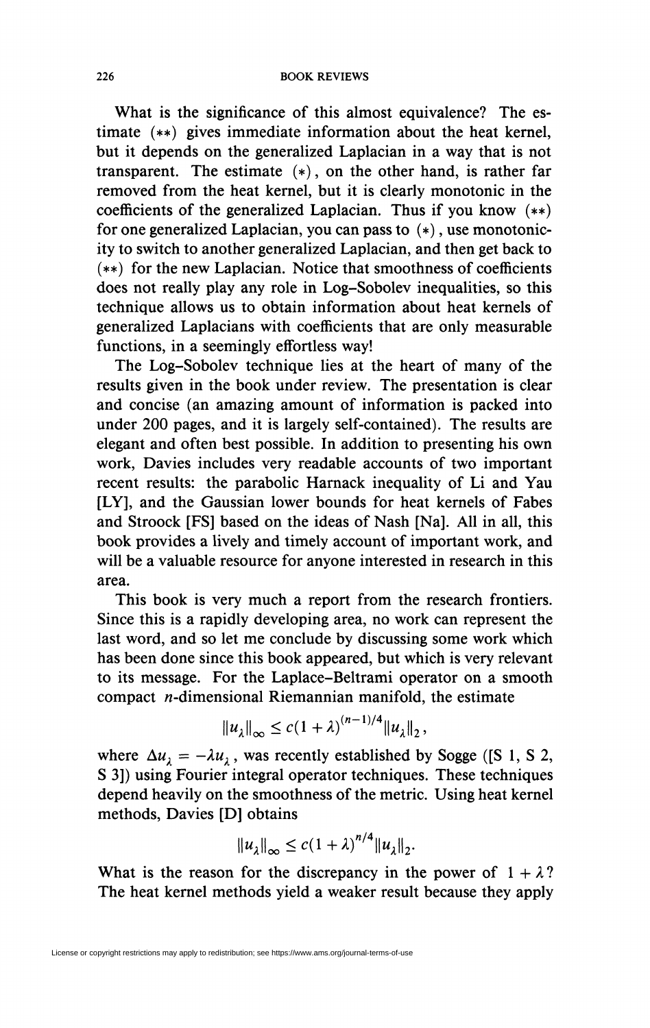What is the significance of this almost equivalence? The estimate (\*\*) gives immediate information about the heat kernel, but it depends on the generalized Laplacian in a way that is not transparent. The estimate  $(*)$ , on the other hand, is rather far removed from the heat kernel, but it is clearly monotonie in the coefficients of the generalized Laplacian. Thus if you know (\*\*) for one generalized Laplacian, you can pass to  $(*)$ , use monotonicity to switch to another generalized Laplacian, and then get back to (\*\*) for the new Laplacian. Notice that smoothness of coefficients does not really play any role in Log-Sobolev inequalities, so this technique allows us to obtain information about heat kernels of generalized Laplacians with coefficients that are only measurable functions, in a seemingly effortless way!

The Log-Sobolev technique lies at the heart of many of the results given in the book under review. The presentation is clear and concise (an amazing amount of information is packed into under 200 pages, and it is largely self-contained). The results are elegant and often best possible. In addition to presenting his own work, Davies includes very readable accounts of two important recent results: the parabolic Harnack inequality of Li and Yau [LY], and the Gaussian lower bounds for heat kernels of Fabes and Stroock [FS] based on the ideas of Nash [Na]. All in all, this book provides a lively and timely account of important work, and will be a valuable resource for anyone interested in research in this area.

This book is very much a report from the research frontiers. Since this is a rapidly developing area, no work can represent the last word, and so let me conclude by discussing some work which has been done since this book appeared, but which is very relevant to its message. For the Laplace-Beltrami operator on a smooth compact  $n$ -dimensional Riemannian manifold, the estimate

$$
||u_{\lambda}||_{\infty} \le c(1+\lambda)^{(n-1)/4}||u_{\lambda}||_{2},
$$

where  $\Delta u_i = -\lambda u_i$ , was recently established by Sogge ([S 1, S 2, S 3]) using Fourier integral operator techniques. These techniques depend heavily on the smoothness of the metric. Using heat kernel methods, Davies [D] obtains

$$
||u_\lambda||_\infty \le c(1+\lambda)^{n/4}||u_\lambda||_2.
$$

What is the reason for the discrepancy in the power of  $1 + \lambda$ ? The heat kernel methods yield a weaker result because they apply